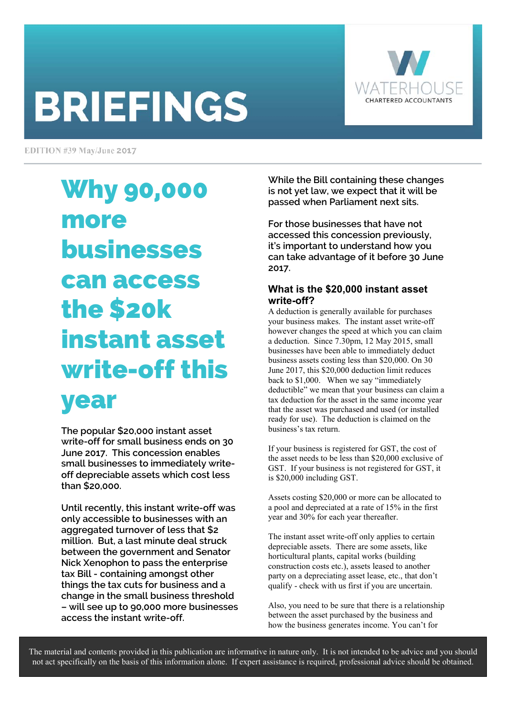# **BRIEFINGS**



EDITION #39 May/June 2017

# Why 90,000 more businesses can access the \$20k instant asset write-off this year

**The popular \$20,000 instant asset write-off for small business ends on 30 June 2017. This concession enables small businesses to immediately writeoff depreciable assets which cost less than \$20,000.** 

**Until recently, this instant write-off was only accessible to businesses with an aggregated turnover of less that \$2 million. But, a last minute deal struck between the government and Senator Nick Xenophon to pass the enterprise tax Bill - containing amongst other things the tax cuts for business and a change in the small business threshold – will see up to 90,000 more businesses access the instant write-off.** 

**While the Bill containing these changes is not yet law, we expect that it will be passed when Parliament next sits.** 

**For those businesses that have not accessed this concession previously, it's important to understand how you can take advantage of it before 30 June 2017.** 

#### **What is the \$20,000 instant asset write-off?**

A deduction is generally available for purchases your business makes. The instant asset write-off however changes the speed at which you can claim a deduction. Since 7.30pm, 12 May 2015, small businesses have been able to immediately deduct business assets costing less than \$20,000. On 30 June 2017, this \$20,000 deduction limit reduces back to \$1,000. When we say "immediately deductible" we mean that your business can claim a tax deduction for the asset in the same income year that the asset was purchased and used (or installed ready for use). The deduction is claimed on the business's tax return.

If your business is registered for GST, the cost of the asset needs to be less than \$20,000 exclusive of GST. If your business is not registered for GST, it is \$20,000 including GST.

Assets costing \$20,000 or more can be allocated to a pool and depreciated at a rate of 15% in the first year and 30% for each year thereafter.

The instant asset write-off only applies to certain depreciable assets. There are some assets, like horticultural plants, capital works (building construction costs etc.), assets leased to another party on a depreciating asset lease, etc., that don't qualify - check with us first if you are uncertain.

Also, you need to be sure that there is a relationship between the asset purchased by the business and how the business generates income. You can't for

The material and contents provided in this publication are informative in nature only. It is not intended to be advice and you should not act specifically on the basis of this information alone. If expert assistance is required, professional advice should be obtained.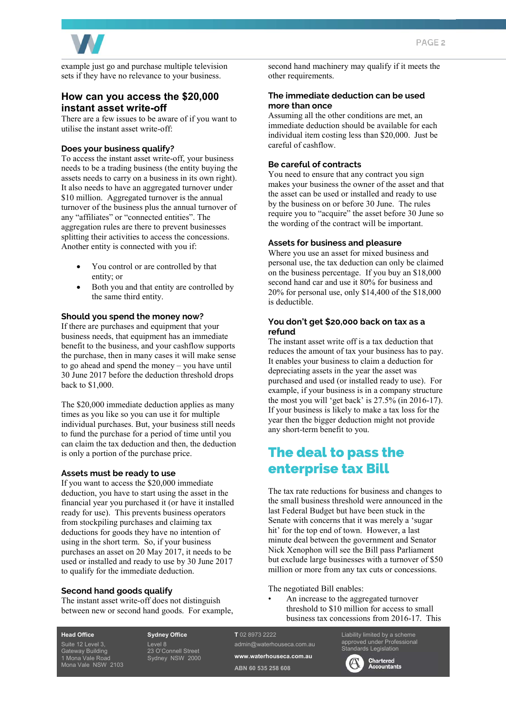

example just go and purchase multiple television sets if they have no relevance to your business.

#### **How can you access the \$20,000 instant asset write-off**

There are a few issues to be aware of if you want to utilise the instant asset write-off:

#### **Does your business qualify?**

To access the instant asset write-off, your business needs to be a trading business (the entity buying the assets needs to carry on a business in its own right). It also needs to have an aggregated turnover under \$10 million. Aggregated turnover is the annual turnover of the business plus the annual turnover of any "affiliates" or "connected entities". The aggregation rules are there to prevent businesses splitting their activities to access the concessions. Another entity is connected with you if:

- You control or are controlled by that entity; or
- Both you and that entity are controlled by the same third entity.

#### **Should you spend the money now?**

If there are purchases and equipment that your business needs, that equipment has an immediate benefit to the business, and your cashflow supports the purchase, then in many cases it will make sense to go ahead and spend the money – you have until 30 June 2017 before the deduction threshold drops back to \$1,000.

The \$20,000 immediate deduction applies as many times as you like so you can use it for multiple individual purchases. But, your business still needs to fund the purchase for a period of time until you can claim the tax deduction and then, the deduction is only a portion of the purchase price.

#### **Assets must be ready to use**

If you want to access the \$20,000 immediate deduction, you have to start using the asset in the financial year you purchased it (or have it installed ready for use). This prevents business operators from stockpiling purchases and claiming tax deductions for goods they have no intention of using in the short term. So, if your business purchases an asset on 20 May 2017, it needs to be used or installed and ready to use by 30 June 2017 to qualify for the immediate deduction.

#### **Second hand goods qualify**

The instant asset write-off does not distinguish between new or second hand goods. For example, second hand machinery may qualify if it meets the other requirements.

#### **The immediate deduction can be used more than once**

Assuming all the other conditions are met, an immediate deduction should be available for each individual item costing less than \$20,000. Just be careful of cashflow.

#### **Be careful of contracts**

You need to ensure that any contract you sign makes your business the owner of the asset and that the asset can be used or installed and ready to use by the business on or before 30 June. The rules require you to "acquire" the asset before 30 June so the wording of the contract will be important.

#### **Assets for business and pleasure**

Where you use an asset for mixed business and personal use, the tax deduction can only be claimed on the business percentage. If you buy an \$18,000 second hand car and use it 80% for business and 20% for personal use, only \$14,400 of the \$18,000 is deductible.

#### **You don't get \$20,000 back on tax as a refund**

The instant asset write off is a tax deduction that reduces the amount of tax your business has to pay. It enables your business to claim a deduction for depreciating assets in the year the asset was purchased and used (or installed ready to use). For example, if your business is in a company structure the most you will 'get back' is  $27.5\%$  (in 2016-17). If your business is likely to make a tax loss for the year then the bigger deduction might not provide any short-term benefit to you.

# The deal to pass the enterprise tax Bill

The tax rate reductions for business and changes to the small business threshold were announced in the last Federal Budget but have been stuck in the Senate with concerns that it was merely a 'sugar hit' for the top end of town. However, a last minute deal between the government and Senator Nick Xenophon will see the Bill pass Parliament but exclude large businesses with a turnover of \$50 million or more from any tax cuts or concessions.

The negotiated Bill enables:

• An increase to the aggregated turnover threshold to \$10 million for access to small business tax concessions from 2016-17. This

#### **Head Office**

Suite 12 Level 3, Gateway Building 1 Mona Vale Road Mona Vale NSW 2103 **Sydney Office**  Level 8 23 O'Connell Street Sydney NSW 2000 **T** 02 8973 2222 admin@waterhouseca.com.au **www.waterhouseca.com.au ABN 60 535 258 608** 

Liability limited by a scheme approved under Professional dards Legislation

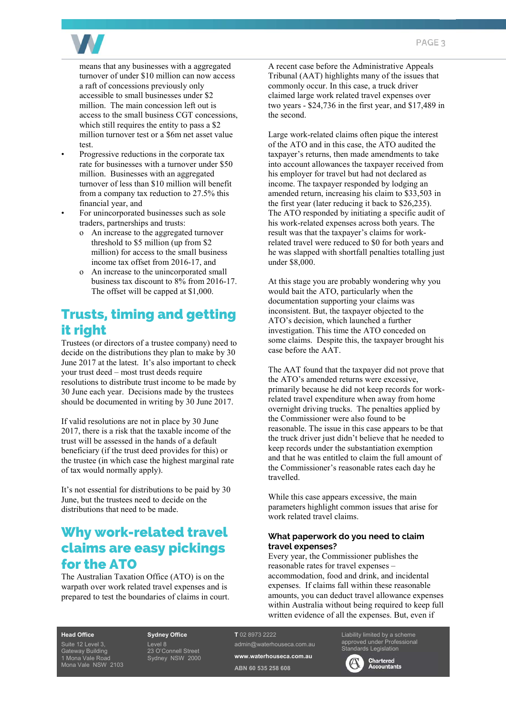

means that any businesses with a aggregated turnover of under \$10 million can now access a raft of concessions previously only accessible to small businesses under \$2 million. The main concession left out is access to the small business CGT concessions, which still requires the entity to pass a \$2 million turnover test or a \$6m net asset value test.

- Progressive reductions in the corporate tax rate for businesses with a turnover under \$50 million. Businesses with an aggregated turnover of less than \$10 million will benefit from a company tax reduction to 27.5% this financial year, and
- For unincorporated businesses such as sole traders, partnerships and trusts:
	- o An increase to the aggregated turnover threshold to \$5 million (up from \$2 million) for access to the small business income tax offset from 2016-17, and
	- o An increase to the unincorporated small business tax discount to 8% from 2016-17. The offset will be capped at \$1,000.

# Trusts, timing and getting it right

Trustees (or directors of a trustee company) need to decide on the distributions they plan to make by 30 June 2017 at the latest. It's also important to check your trust deed – most trust deeds require resolutions to distribute trust income to be made by 30 June each year. Decisions made by the trustees should be documented in writing by 30 June 2017.

If valid resolutions are not in place by 30 June 2017, there is a risk that the taxable income of the trust will be assessed in the hands of a default beneficiary (if the trust deed provides for this) or the trustee (in which case the highest marginal rate of tax would normally apply).

It's not essential for distributions to be paid by 30 June, but the trustees need to decide on the distributions that need to be made.

# Why work-related travel claims are easy pickings for the ATO

The Australian Taxation Office (ATO) is on the warpath over work related travel expenses and is prepared to test the boundaries of claims in court. A recent case before the Administrative Appeals Tribunal (AAT) highlights many of the issues that commonly occur. In this case, a truck driver claimed large work related travel expenses over two years - \$24,736 in the first year, and \$17,489 in the second.

Large work-related claims often pique the interest of the ATO and in this case, the ATO audited the taxpayer's returns, then made amendments to take into account allowances the taxpayer received from his employer for travel but had not declared as income. The taxpayer responded by lodging an amended return, increasing his claim to \$33,503 in the first year (later reducing it back to \$26,235). The ATO responded by initiating a specific audit of his work-related expenses across both years. The result was that the taxpayer's claims for workrelated travel were reduced to \$0 for both years and he was slapped with shortfall penalties totalling just under \$8,000.

At this stage you are probably wondering why you would bait the ATO, particularly when the documentation supporting your claims was inconsistent. But, the taxpayer objected to the ATO's decision, which launched a further investigation. This time the ATO conceded on some claims. Despite this, the taxpayer brought his case before the AAT.

The AAT found that the taxpayer did not prove that the ATO's amended returns were excessive, primarily because he did not keep records for workrelated travel expenditure when away from home overnight driving trucks. The penalties applied by the Commissioner were also found to be reasonable. The issue in this case appears to be that the truck driver just didn't believe that he needed to keep records under the substantiation exemption and that he was entitled to claim the full amount of the Commissioner's reasonable rates each day he travelled.

While this case appears excessive, the main parameters highlight common issues that arise for work related travel claims.

#### **What paperwork do you need to claim travel expenses?**

Every year, the Commissioner publishes the reasonable rates for travel expenses – accommodation, food and drink, and incidental expenses. If claims fall within these reasonable amounts, you can deduct travel allowance expenses within Australia without being required to keep full written evidence of all the expenses. But, even if

#### **Head Office**

Suite 12 Level 3, Gateway Building 1 Mona Vale Road Mona Vale NSW 2103

#### **Sydney Office**

Level 8

23 O'Connell Street Sydney NSW 2000

#### **T** 02 8973 2222

admin@waterhouseca.com.au **www.waterhouseca.com.au** 

**ABN 60 535 258 608** 

Liability limited by a scheme approved under Professional dards Legislation

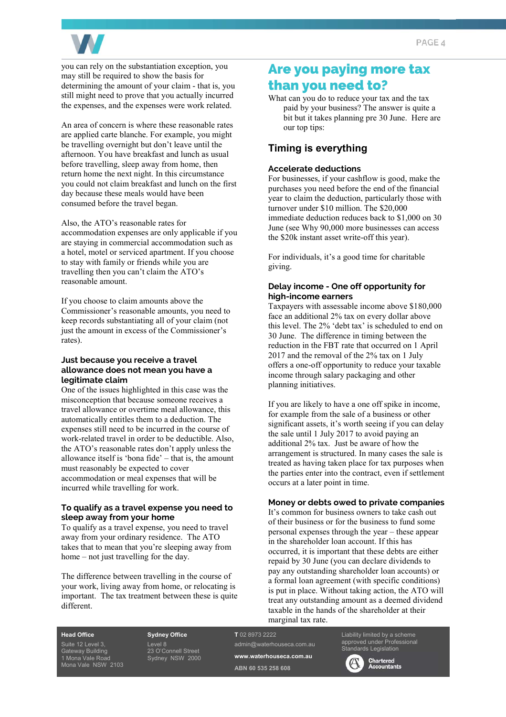

you can rely on the substantiation exception, you may still be required to show the basis for determining the amount of your claim - that is, you still might need to prove that you actually incurred the expenses, and the expenses were work related.

An area of concern is where these reasonable rates are applied carte blanche. For example, you might be travelling overnight but don't leave until the afternoon. You have breakfast and lunch as usual before travelling, sleep away from home, then return home the next night. In this circumstance you could not claim breakfast and lunch on the first day because these meals would have been consumed before the travel began.

Also, the ATO's reasonable rates for accommodation expenses are only applicable if you are staying in commercial accommodation such as a hotel, motel or serviced apartment. If you choose to stay with family or friends while you are travelling then you can't claim the ATO's reasonable amount.

If you choose to claim amounts above the Commissioner's reasonable amounts, you need to keep records substantiating all of your claim (not just the amount in excess of the Commissioner's rates).

#### **Just because you receive a travel allowance does not mean you have a legitimate claim**

One of the issues highlighted in this case was the misconception that because someone receives a travel allowance or overtime meal allowance, this automatically entitles them to a deduction. The expenses still need to be incurred in the course of work-related travel in order to be deductible. Also, the ATO's reasonable rates don't apply unless the allowance itself is 'bona fide' – that is, the amount must reasonably be expected to cover accommodation or meal expenses that will be incurred while travelling for work.

#### **To qualify as a travel expense you need to sleep away from your home**

To qualify as a travel expense, you need to travel away from your ordinary residence. The ATO takes that to mean that you're sleeping away from home – not just travelling for the day.

The difference between travelling in the course of your work, living away from home, or relocating is important. The tax treatment between these is quite different.

### Are you paying more tax than you need to?

What can you do to reduce your tax and the tax paid by your business? The answer is quite a bit but it takes planning pre 30 June. Here are our top tips:

#### **Timing is everything**

#### **Accelerate deductions**

For businesses, if your cashflow is good, make the purchases you need before the end of the financial year to claim the deduction, particularly those with turnover under \$10 million. The \$20,000 immediate deduction reduces back to \$1,000 on 30 June (see Why 90,000 more businesses can access the \$20k instant asset write-off this year).

For individuals, it's a good time for charitable giving.

#### **Delay income - One off opportunity for high-income earners**

Taxpayers with assessable income above \$180,000 face an additional 2% tax on every dollar above this level. The 2% 'debt tax' is scheduled to end on 30 June. The difference in timing between the reduction in the FBT rate that occurred on 1 April 2017 and the removal of the 2% tax on 1 July offers a one-off opportunity to reduce your taxable income through salary packaging and other planning initiatives.

If you are likely to have a one off spike in income, for example from the sale of a business or other significant assets, it's worth seeing if you can delay the sale until 1 July 2017 to avoid paying an additional 2% tax. Just be aware of how the arrangement is structured. In many cases the sale is treated as having taken place for tax purposes when the parties enter into the contract, even if settlement occurs at a later point in time.

#### **Money or debts owed to private companies**

It's common for business owners to take cash out of their business or for the business to fund some personal expenses through the year – these appear in the shareholder loan account. If this has occurred, it is important that these debts are either repaid by 30 June (you can declare dividends to pay any outstanding shareholder loan accounts) or a formal loan agreement (with specific conditions) is put in place. Without taking action, the ATO will treat any outstanding amount as a deemed dividend taxable in the hands of the shareholder at their marginal tax rate.

Suite 12 Level 3, Gateway Building 1 Mona Vale Road Mona Vale NSW 2103

**Head Office** 

**Sydney Office**  Level 8

23 O'Connell Street Sydney NSW 2000 **T** 02 8973 2222 admin@waterhouseca.com.au **www.waterhouseca.com.au** 

**ABN 60 535 258 608** 

Liability limited by a scheme approved under Professional Standards Legislation

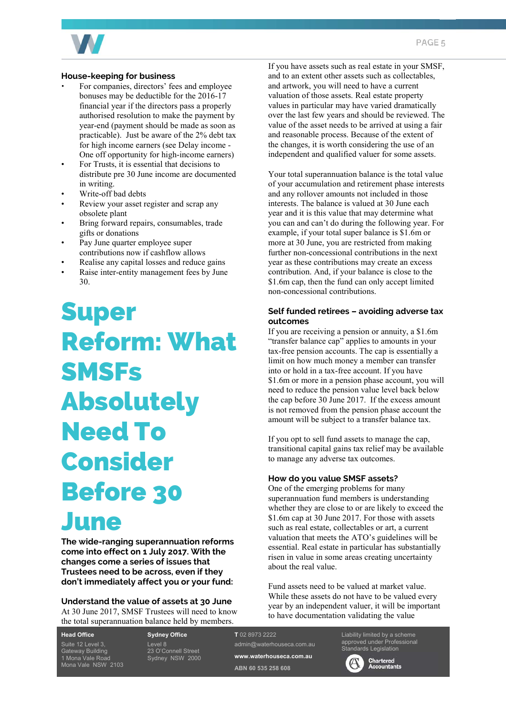

#### **House-keeping for business**

- For companies, directors' fees and employee bonuses may be deductible for the 2016-17 financial year if the directors pass a properly authorised resolution to make the payment by year-end (payment should be made as soon as practicable). Just be aware of the 2% debt tax for high income earners (see Delay income - One off opportunity for high-income earners)
- For Trusts, it is essential that decisions to distribute pre 30 June income are documented in writing.
- Write-off bad debts
- Review your asset register and scrap any obsolete plant
- Bring forward repairs, consumables, trade gifts or donations
- Pay June quarter employee super contributions now if cashflow allows
- Realise any capital losses and reduce gains
- Raise inter-entity management fees by June 30.

Super Reform: What **SMSFs** Absolutely Need To Consider Before 30 June

**The wide-ranging superannuation reforms come into effect on 1 July 2017. With the changes come a series of issues that Trustees need to be across, even if they don't immediately affect you or your fund:** 

#### **Understand the value of assets at 30 June**  At 30 June 2017, SMSF Trustees will need to know the total superannuation balance held by members.

**Head Office**  Suite 12 Level 3, Gateway Building 1 Mona Vale Road Mona Vale NSW 2103 **Sydney Office**  Level 8 23 O'Connell Street Sydney NSW 2000 If you have assets such as real estate in your SMSF, and to an extent other assets such as collectables, and artwork, you will need to have a current valuation of those assets. Real estate property values in particular may have varied dramatically over the last few years and should be reviewed. The value of the asset needs to be arrived at using a fair and reasonable process. Because of the extent of the changes, it is worth considering the use of an independent and qualified valuer for some assets.

Your total superannuation balance is the total value of your accumulation and retirement phase interests and any rollover amounts not included in those interests. The balance is valued at 30 June each year and it is this value that may determine what you can and can't do during the following year. For example, if your total super balance is \$1.6m or more at 30 June, you are restricted from making further non-concessional contributions in the next year as these contributions may create an excess contribution. And, if your balance is close to the \$1.6m cap, then the fund can only accept limited non-concessional contributions.

#### **Self funded retirees – avoiding adverse tax outcomes**

If you are receiving a pension or annuity, a \$1.6m "transfer balance cap" applies to amounts in your tax-free pension accounts. The cap is essentially a limit on how much money a member can transfer into or hold in a tax-free account. If you have \$1.6m or more in a pension phase account, you will need to reduce the pension value level back below the cap before 30 June 2017. If the excess amount is not removed from the pension phase account the amount will be subject to a transfer balance tax.

If you opt to sell fund assets to manage the cap, transitional capital gains tax relief may be available to manage any adverse tax outcomes.

#### **How do you value SMSF assets?**

One of the emerging problems for many superannuation fund members is understanding whether they are close to or are likely to exceed the \$1.6m cap at 30 June 2017. For those with assets such as real estate, collectables or art, a current valuation that meets the ATO's guidelines will be essential. Real estate in particular has substantially risen in value in some areas creating uncertainty about the real value.

Fund assets need to be valued at market value. While these assets do not have to be valued every year by an independent valuer, it will be important to have documentation validating the value

**T** 02 8973 2222 admin@waterhouseca.com.au **www.waterhouseca.com.au** 

**ABN 60 535 258 608** 

Liability limited by a scheme approved under Professional



**Standards Legislation<br>
Chartered**<br> **Chartered**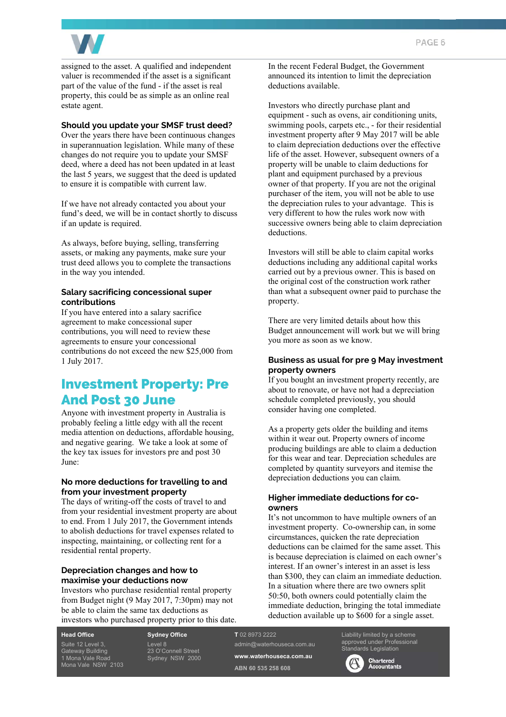

assigned to the asset. A qualified and independent valuer is recommended if the asset is a significant part of the value of the fund - if the asset is real property, this could be as simple as an online real estate agent.

#### **Should you update your SMSF trust deed?**

Over the years there have been continuous changes in superannuation legislation. While many of these changes do not require you to update your SMSF deed, where a deed has not been updated in at least the last 5 years, we suggest that the deed is updated to ensure it is compatible with current law.

If we have not already contacted you about your fund's deed, we will be in contact shortly to discuss if an update is required.

As always, before buying, selling, transferring assets, or making any payments, make sure your trust deed allows you to complete the transactions in the way you intended.

#### **Salary sacrificing concessional super contributions**

If you have entered into a salary sacrifice agreement to make concessional super contributions, you will need to review these agreements to ensure your concessional contributions do not exceed the new \$25,000 from 1 July 2017.

# Investment Property: Pre And Post 30 June

Anyone with investment property in Australia is probably feeling a little edgy with all the recent media attention on deductions, affordable housing, and negative gearing. We take a look at some of the key tax issues for investors pre and post 30 June:

#### **No more deductions for travelling to and from your investment property**

The days of writing-off the costs of travel to and from your residential investment property are about to end. From 1 July 2017, the Government intends to abolish deductions for travel expenses related to inspecting, maintaining, or collecting rent for a residential rental property.

#### **Depreciation changes and how to maximise your deductions now**

Investors who purchase residential rental property from Budget night (9 May 2017, 7:30pm) may not be able to claim the same tax deductions as investors who purchased property prior to this date.

**Head Office**  Suite 12 Level 3, Gateway Building 1 Mona Vale Road Mona Vale NSW 2103 **Sydney Office**  Level 8 23 O'Connell Street Sydney NSW 2000 In the recent Federal Budget, the Government announced its intention to limit the depreciation deductions available.

Investors who directly purchase plant and equipment - such as ovens, air conditioning units, swimming pools, carpets etc., - for their residential investment property after 9 May 2017 will be able to claim depreciation deductions over the effective life of the asset. However, subsequent owners of a property will be unable to claim deductions for plant and equipment purchased by a previous owner of that property. If you are not the original purchaser of the item, you will not be able to use the depreciation rules to your advantage. This is very different to how the rules work now with successive owners being able to claim depreciation deductions.

Investors will still be able to claim capital works deductions including any additional capital works carried out by a previous owner. This is based on the original cost of the construction work rather than what a subsequent owner paid to purchase the property.

There are very limited details about how this Budget announcement will work but we will bring you more as soon as we know.

#### **Business as usual for pre 9 May investment property owners**

If you bought an investment property recently, are about to renovate, or have not had a depreciation schedule completed previously, you should consider having one completed.

As a property gets older the building and items within it wear out. Property owners of income producing buildings are able to claim a deduction for this wear and tear. Depreciation schedules are completed by quantity surveyors and itemise the depreciation deductions you can claim.

#### **Higher immediate deductions for coowners**

It's not uncommon to have multiple owners of an investment property. Co-ownership can, in some circumstances, quicken the rate depreciation deductions can be claimed for the same asset. This is because depreciation is claimed on each owner's interest. If an owner's interest in an asset is less than \$300, they can claim an immediate deduction. In a situation where there are two owners split 50:50, both owners could potentially claim the immediate deduction, bringing the total immediate deduction available up to \$600 for a single asset.

**T** 02 8973 2222 admin@waterhouseca.com.au **www.waterhouseca.com.au ABN 60 535 258 608** 

Liability limited by a scheme approved under Professional Standards Legislation

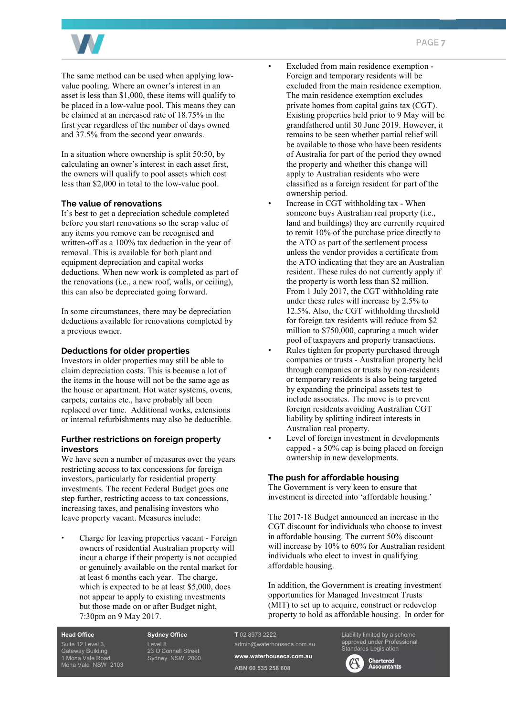

The same method can be used when applying lowvalue pooling. Where an owner's interest in an asset is less than \$1,000, these items will qualify to be placed in a low-value pool. This means they can be claimed at an increased rate of 18.75% in the first year regardless of the number of days owned and 37.5% from the second year onwards.

In a situation where ownership is split 50:50, by calculating an owner's interest in each asset first, the owners will qualify to pool assets which cost less than \$2,000 in total to the low-value pool.

#### **The value of renovations**

It's best to get a depreciation schedule completed before you start renovations so the scrap value of any items you remove can be recognised and written-off as a 100% tax deduction in the year of removal. This is available for both plant and equipment depreciation and capital works deductions. When new work is completed as part of the renovations (i.e., a new roof, walls, or ceiling), this can also be depreciated going forward.

In some circumstances, there may be depreciation deductions available for renovations completed by a previous owner.

#### **Deductions for older properties**

Investors in older properties may still be able to claim depreciation costs. This is because a lot of the items in the house will not be the same age as the house or apartment. Hot water systems, ovens, carpets, curtains etc., have probably all been replaced over time. Additional works, extensions or internal refurbishments may also be deductible.

#### **Further restrictions on foreign property investors**

We have seen a number of measures over the years restricting access to tax concessions for foreign investors, particularly for residential property investments. The recent Federal Budget goes one step further, restricting access to tax concessions, increasing taxes, and penalising investors who leave property vacant. Measures include:

**•** Charge for leaving properties vacant - Foreign owners of residential Australian property will incur a charge if their property is not occupied or genuinely available on the rental market for at least 6 months each year. The charge, which is expected to be at least \$5,000, does not appear to apply to existing investments but those made on or after Budget night, 7:30pm on 9 May 2017.

- Excluded from main residence exemption Foreign and temporary residents will be excluded from the main residence exemption. The main residence exemption excludes private homes from capital gains tax (CGT). Existing properties held prior to 9 May will be grandfathered until 30 June 2019. However, it remains to be seen whether partial relief will be available to those who have been residents of Australia for part of the period they owned the property and whether this change will apply to Australian residents who were classified as a foreign resident for part of the ownership period.
- Increase in CGT withholding tax When someone buys Australian real property (i.e., land and buildings) they are currently required to remit 10% of the purchase price directly to the ATO as part of the settlement process unless the vendor provides a certificate from the ATO indicating that they are an Australian resident. These rules do not currently apply if the property is worth less than \$2 million. From 1 July 2017, the CGT withholding rate under these rules will increase by 2.5% to 12.5%. Also, the CGT withholding threshold for foreign tax residents will reduce from \$2 million to \$750,000, capturing a much wider pool of taxpayers and property transactions.
- Rules tighten for property purchased through companies or trusts - Australian property held through companies or trusts by non-residents or temporary residents is also being targeted by expanding the principal assets test to include associates. The move is to prevent foreign residents avoiding Australian CGT liability by splitting indirect interests in Australian real property.
- Level of foreign investment in developments capped - a 50% cap is being placed on foreign ownership in new developments.

#### **The push for affordable housing**

The Government is very keen to ensure that investment is directed into 'affordable housing.'

The 2017-18 Budget announced an increase in the CGT discount for individuals who choose to invest in affordable housing. The current 50% discount will increase by 10% to 60% for Australian resident individuals who elect to invest in qualifying affordable housing.

In addition, the Government is creating investment opportunities for Managed Investment Trusts (MIT) to set up to acquire, construct or redevelop property to hold as affordable housing. In order for

**Head Office** 

Suite 12 Level 3, Gateway Building 1 Mona Vale Road Mona Vale NSW 2103 **Sydney Office**  Level 8 23 O'Connell Street Sydney NSW 2000

#### **T** 02 8973 2222

admin@waterhouseca.com.au **www.waterhouseca.com.au** 

**ABN 60 535 258 608** 

Liability limited by a scheme approved under Professional dards Legislation